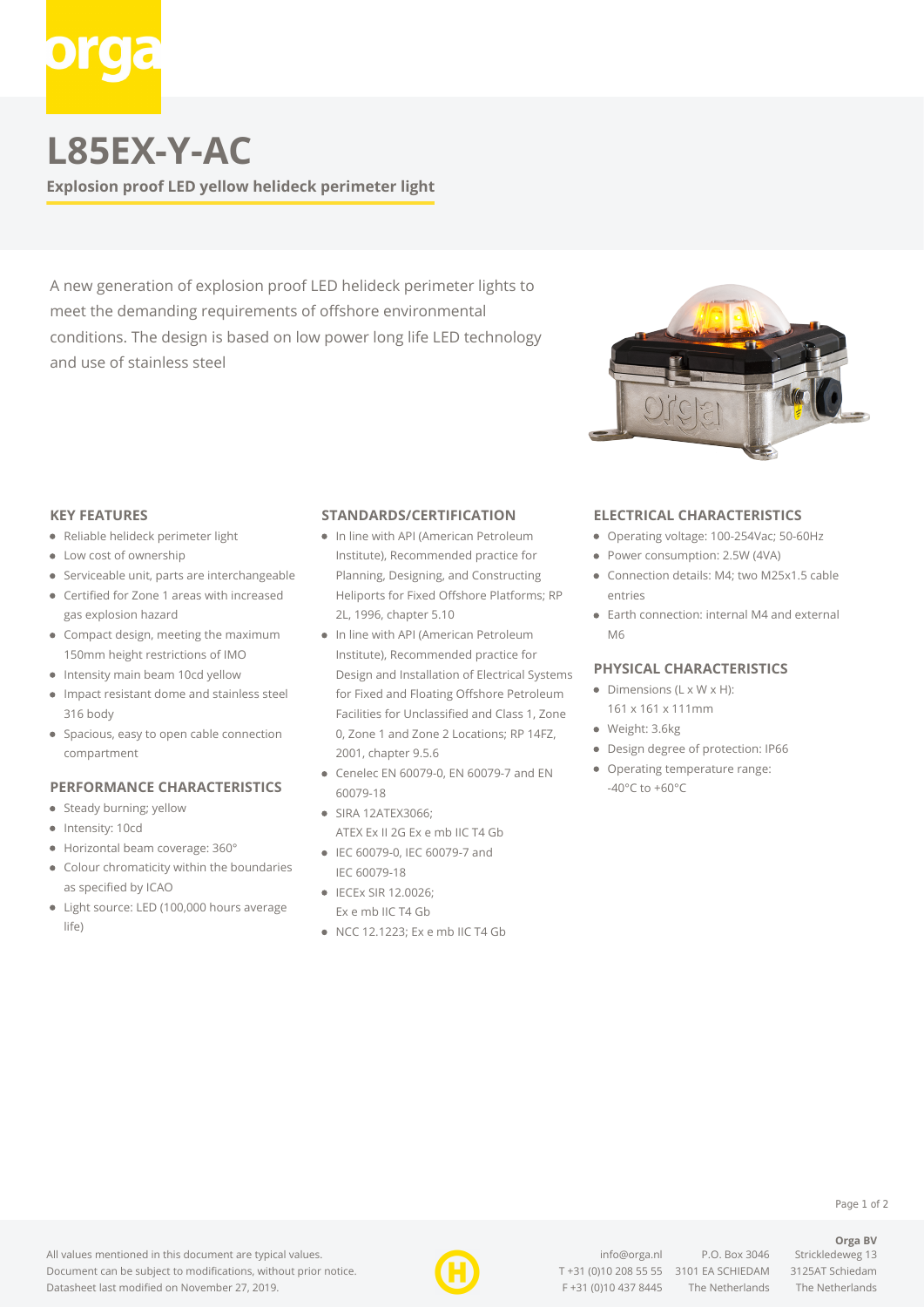

## **L85EX-Y-AC**

**Explosion proof LED yellow helideck perimeter light**

A new generation of explosion proof LED helideck perimeter lights to meet the demanding requirements of offshore environmental conditions. The design is based on low power long life LED technology and use of stainless steel



### **KEY FEATURES**

- Reliable helideck perimeter light
- Low cost of ownership
- Serviceable unit, parts are interchangeable
- Certified for Zone 1 areas with increased gas explosion hazard
- Compact design, meeting the maximum 150mm height restrictions of IMO
- Intensity main beam 10cd yellow
- Impact resistant dome and stainless steel 316 body
- Spacious, easy to open cable connection compartment

#### **PERFORMANCE CHARACTERISTICS**

- Steady burning; yellow
- Intensity: 10cd
- Horizontal beam coverage: 360°
- Colour chromaticity within the boundaries as specified by ICAO
- Light source: LED (100,000 hours average life)

## **STANDARDS/CERTIFICATION**

- In line with API (American Petroleum Institute), Recommended practice for Planning, Designing, and Constructing Heliports for Fixed Offshore Platforms; RP 2L, 1996, chapter 5.10
- In line with API (American Petroleum Institute), Recommended practice for Design and Installation of Electrical Systems for Fixed and Floating Offshore Petroleum Facilities for Unclassified and Class 1, Zone 0, Zone 1 and Zone 2 Locations; RP 14FZ, 2001, chapter 9.5.6
- Cenelec EN 60079-0, EN 60079-7 and EN 60079-18
- SIRA 12ATEX3066; ATEX Ex II 2G Ex e mb IIC T4 Gb
- IEC 60079-0, IEC 60079-7 and IEC 60079-18
- IECEx SIR 12.0026: Ex e mb IIC T4 Gb
- NCC 12.1223; Ex e mb IIC T4 Gb

## **ELECTRICAL CHARACTERISTICS**

- Operating voltage: 100-254Vac; 50-60Hz
- Power consumption: 2.5W (4VA)
- Connection details: M4; two M25x1.5 cable entries
- Earth connection: internal M4 and external M6

### **PHYSICAL CHARACTERISTICS**

- $\bullet$  Dimensions (L x W x H):
- 161 x 161 x 111mm
- Weight: 3.6kg
- Design degree of protection: IP66
- Operating temperature range: -40°C to +60°C

Page 1 of 2

**Orga BV**